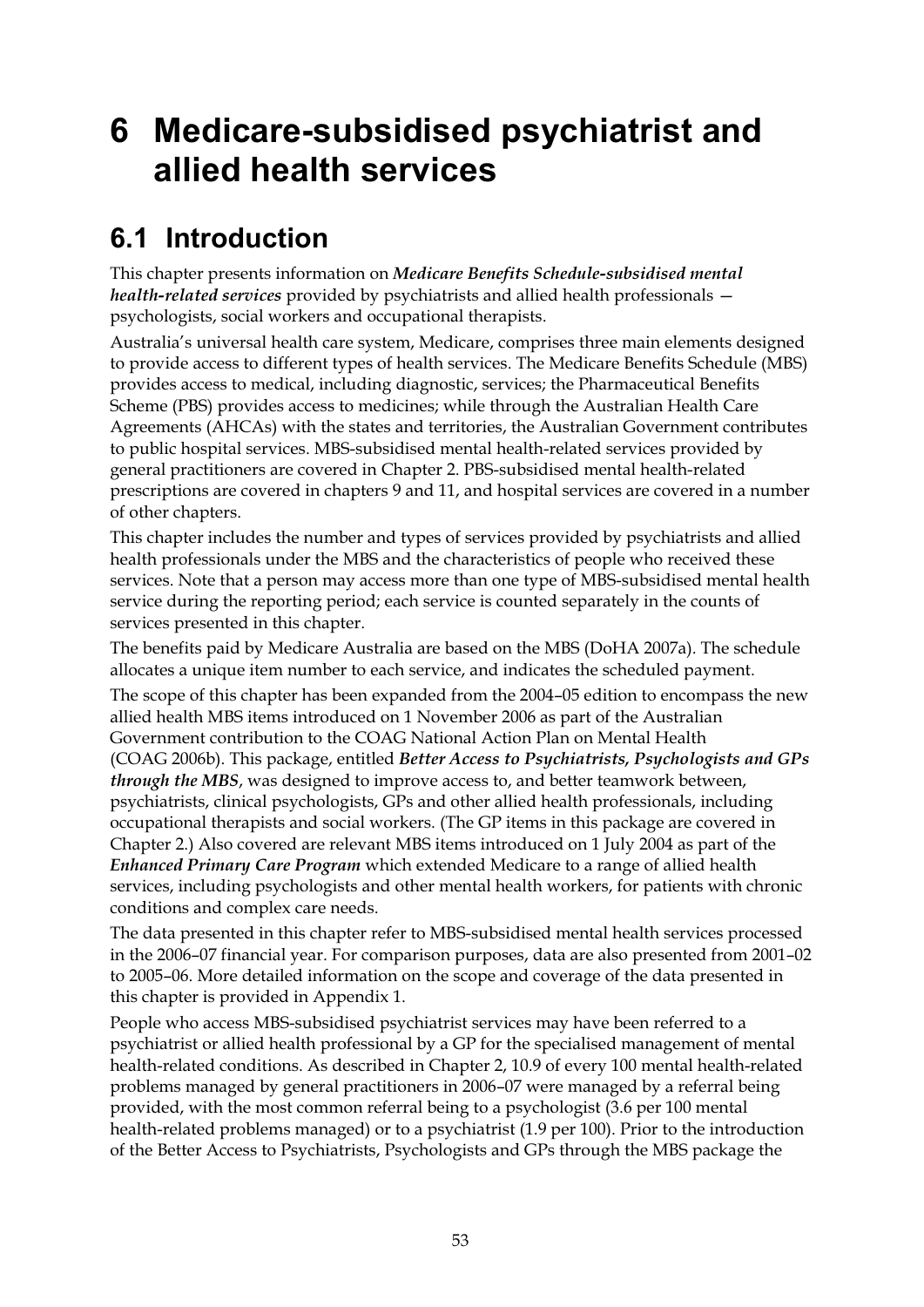# **6 Medicare-subsidised psychiatrist and allied health services**

### **6.1 Introduction**

This chapter presents information on *Medicare Benefits Schedule-subsidised mental health-related services* provided by psychiatrists and allied health professionals psychologists, social workers and occupational therapists.

Australia's universal health care system, Medicare, comprises three main elements designed to provide access to different types of health services. The Medicare Benefits Schedule (MBS) provides access to medical, including diagnostic, services; the Pharmaceutical Benefits Scheme (PBS) provides access to medicines; while through the Australian Health Care Agreements (AHCAs) with the states and territories, the Australian Government contributes to public hospital services. MBS-subsidised mental health-related services provided by general practitioners are covered in Chapter 2. PBS-subsidised mental health-related prescriptions are covered in chapters 9 and 11, and hospital services are covered in a number of other chapters.

This chapter includes the number and types of services provided by psychiatrists and allied health professionals under the MBS and the characteristics of people who received these services. Note that a person may access more than one type of MBS-subsidised mental health service during the reporting period; each service is counted separately in the counts of services presented in this chapter.

The benefits paid by Medicare Australia are based on the MBS (DoHA 2007a). The schedule allocates a unique item number to each service, and indicates the scheduled payment.

The scope of this chapter has been expanded from the 2004–05 edition to encompass the new allied health MBS items introduced on 1 November 2006 as part of the Australian Government contribution to the COAG National Action Plan on Mental Health (COAG 2006b). This package, entitled *Better Access to Psychiatrists, Psychologists and GPs through the MBS*, was designed to improve access to, and better teamwork between, psychiatrists, clinical psychologists, GPs and other allied health professionals, including occupational therapists and social workers. (The GP items in this package are covered in Chapter 2.) Also covered are relevant MBS items introduced on 1 July 2004 as part of the *Enhanced Primary Care Program* which extended Medicare to a range of allied health services, including psychologists and other mental health workers, for patients with chronic conditions and complex care needs.

The data presented in this chapter refer to MBS-subsidised mental health services processed in the 2006–07 financial year. For comparison purposes, data are also presented from 2001–02 to 2005–06. More detailed information on the scope and coverage of the data presented in this chapter is provided in Appendix 1.

People who access MBS-subsidised psychiatrist services may have been referred to a psychiatrist or allied health professional by a GP for the specialised management of mental health-related conditions. As described in Chapter 2, 10.9 of every 100 mental health-related problems managed by general practitioners in 2006–07 were managed by a referral being provided, with the most common referral being to a psychologist (3.6 per 100 mental health-related problems managed) or to a psychiatrist (1.9 per 100). Prior to the introduction of the Better Access to Psychiatrists, Psychologists and GPs through the MBS package the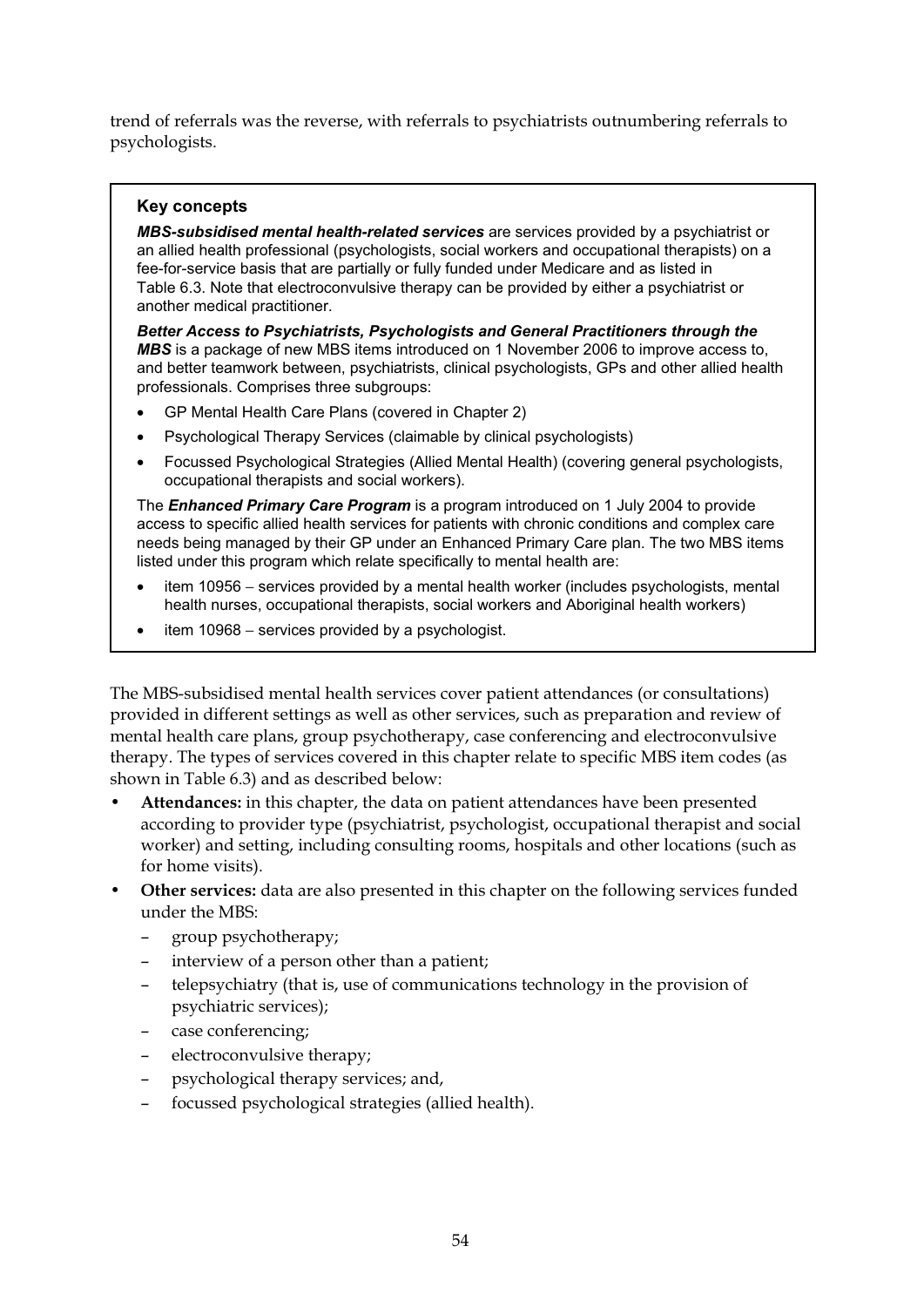trend of referrals was the reverse, with referrals to psychiatrists outnumbering referrals to psychologists.

#### **Key concepts**

*MBS-subsidised mental health-related services* are services provided by a psychiatrist or an allied health professional (psychologists, social workers and occupational therapists) on a fee-for-service basis that are partially or fully funded under Medicare and as listed in Table 6.3. Note that electroconvulsive therapy can be provided by either a psychiatrist or another medical practitioner.

*Better Access to Psychiatrists, Psychologists and General Practitioners through the MBS* is a package of new MBS items introduced on 1 November 2006 to improve access to, and better teamwork between, psychiatrists, clinical psychologists, GPs and other allied health professionals. Comprises three subgroups:

- GP Mental Health Care Plans (covered in Chapter 2)
- Psychological Therapy Services (claimable by clinical psychologists)
- Focussed Psychological Strategies (Allied Mental Health) (covering general psychologists, occupational therapists and social workers).

The *Enhanced Primary Care Program* is a program introduced on 1 July 2004 to provide access to specific allied health services for patients with chronic conditions and complex care needs being managed by their GP under an Enhanced Primary Care plan. The two MBS items listed under this program which relate specifically to mental health are:

- item 10956 − services provided by a mental health worker (includes psychologists, mental health nurses, occupational therapists, social workers and Aboriginal health workers)
- item 10968 − services provided by a psychologist.

The MBS-subsidised mental health services cover patient attendances (or consultations) provided in different settings as well as other services, such as preparation and review of mental health care plans, group psychotherapy, case conferencing and electroconvulsive therapy. The types of services covered in this chapter relate to specific MBS item codes (as shown in Table 6.3) and as described below:

- **Attendances:** in this chapter, the data on patient attendances have been presented according to provider type (psychiatrist, psychologist, occupational therapist and social worker) and setting, including consulting rooms, hospitals and other locations (such as for home visits).
- **Other services:** data are also presented in this chapter on the following services funded under the MBS:
	- group psychotherapy;
	- interview of a person other than a patient;
	- telepsychiatry (that is, use of communications technology in the provision of psychiatric services);
	- case conferencing;
	- electroconvulsive therapy;
	- psychological therapy services; and,
	- focussed psychological strategies (allied health).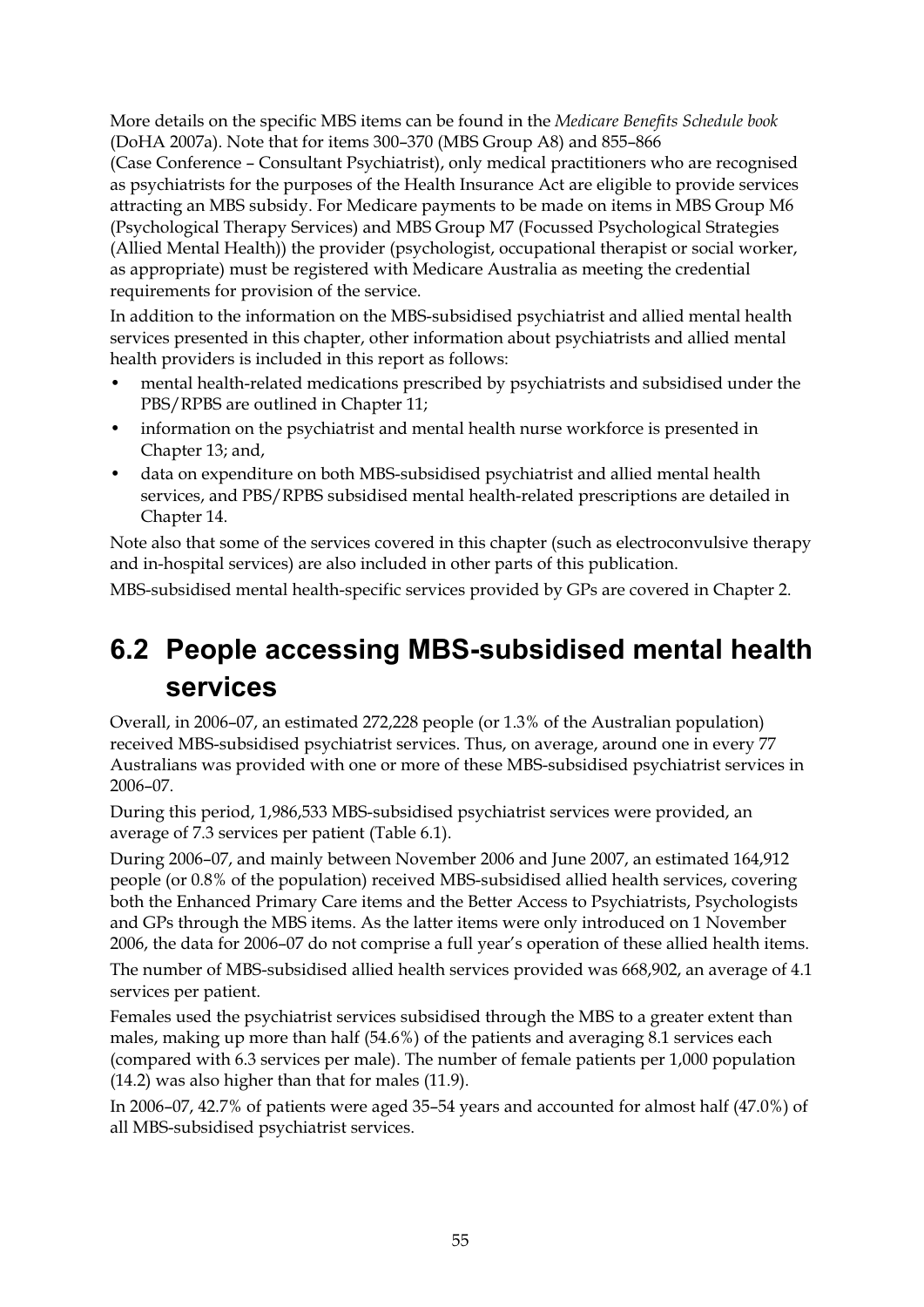More details on the specific MBS items can be found in the *Medicare Benefits Schedule book* (DoHA 2007a). Note that for items 300–370 (MBS Group A8) and 855–866

(Case Conference – Consultant Psychiatrist), only medical practitioners who are recognised as psychiatrists for the purposes of the Health Insurance Act are eligible to provide services attracting an MBS subsidy. For Medicare payments to be made on items in MBS Group M6 (Psychological Therapy Services) and MBS Group M7 (Focussed Psychological Strategies (Allied Mental Health)) the provider (psychologist, occupational therapist or social worker, as appropriate) must be registered with Medicare Australia as meeting the credential requirements for provision of the service.

In addition to the information on the MBS-subsidised psychiatrist and allied mental health services presented in this chapter, other information about psychiatrists and allied mental health providers is included in this report as follows:

- mental health-related medications prescribed by psychiatrists and subsidised under the PBS/RPBS are outlined in Chapter 11;
- information on the psychiatrist and mental health nurse workforce is presented in Chapter 13; and,
- data on expenditure on both MBS-subsidised psychiatrist and allied mental health services, and PBS/RPBS subsidised mental health-related prescriptions are detailed in Chapter 14.

Note also that some of the services covered in this chapter (such as electroconvulsive therapy and in-hospital services) are also included in other parts of this publication.

MBS-subsidised mental health-specific services provided by GPs are covered in Chapter 2.

### **6.2 People accessing MBS-subsidised mental health services**

Overall, in 2006–07, an estimated 272,228 people (or 1.3% of the Australian population) received MBS-subsidised psychiatrist services. Thus, on average, around one in every 77 Australians was provided with one or more of these MBS-subsidised psychiatrist services in 2006–07.

During this period, 1,986,533 MBS-subsidised psychiatrist services were provided, an average of 7.3 services per patient (Table 6.1).

During 2006–07, and mainly between November 2006 and June 2007, an estimated 164,912 people (or 0.8% of the population) received MBS-subsidised allied health services, covering both the Enhanced Primary Care items and the Better Access to Psychiatrists, Psychologists and GPs through the MBS items. As the latter items were only introduced on 1 November 2006, the data for 2006–07 do not comprise a full year's operation of these allied health items.

The number of MBS-subsidised allied health services provided was 668,902, an average of 4.1 services per patient.

Females used the psychiatrist services subsidised through the MBS to a greater extent than males, making up more than half (54.6%) of the patients and averaging 8.1 services each (compared with 6.3 services per male). The number of female patients per 1,000 population (14.2) was also higher than that for males (11.9).

In 2006–07, 42.7% of patients were aged 35–54 years and accounted for almost half (47.0%) of all MBS-subsidised psychiatrist services.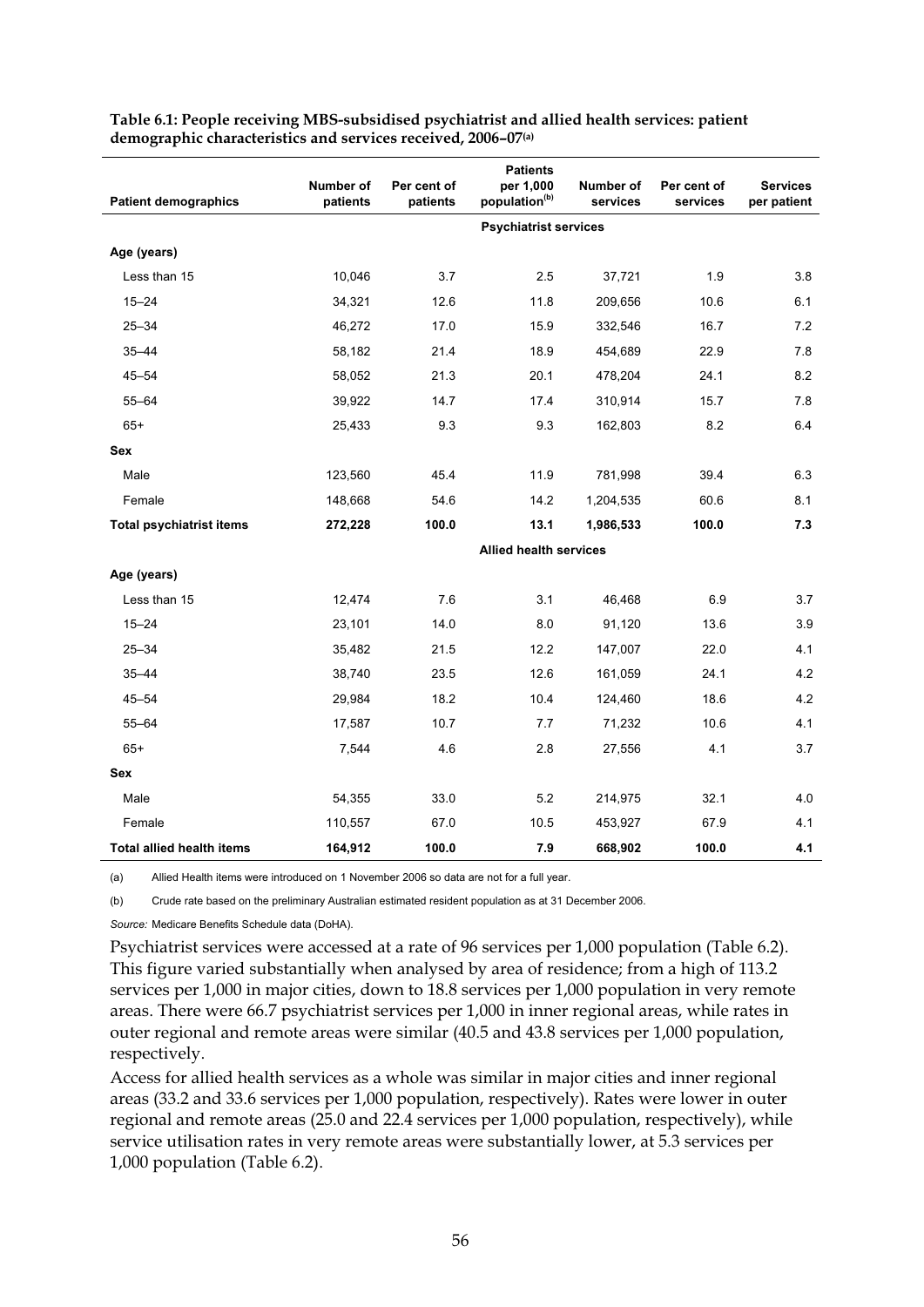| <b>Patient demographics</b>      | Number of<br>patients        | Per cent of<br>patients | <b>Patients</b><br>per 1,000<br>population <sup>(b)</sup> | Number of<br>services | Per cent of<br>services | <b>Services</b><br>per patient |  |  |  |  |
|----------------------------------|------------------------------|-------------------------|-----------------------------------------------------------|-----------------------|-------------------------|--------------------------------|--|--|--|--|
|                                  | <b>Psychiatrist services</b> |                         |                                                           |                       |                         |                                |  |  |  |  |
| Age (years)                      |                              |                         |                                                           |                       |                         |                                |  |  |  |  |
| Less than 15                     | 10,046                       | 3.7                     | 2.5                                                       | 37,721                | 1.9                     | 3.8                            |  |  |  |  |
| $15 - 24$                        | 34,321                       | 12.6                    | 11.8                                                      | 209,656               | 10.6                    | 6.1                            |  |  |  |  |
| $25 - 34$                        | 46,272                       | 17.0                    | 15.9                                                      | 332,546               | 16.7                    | 7.2                            |  |  |  |  |
| $35 - 44$                        | 58,182                       | 21.4                    | 18.9                                                      | 454,689               | 22.9                    | 7.8                            |  |  |  |  |
| 45–54                            | 58,052                       | 21.3                    | 20.1                                                      | 478,204               | 24.1                    | 8.2                            |  |  |  |  |
| $55 - 64$                        | 39,922                       | 14.7                    | 17.4                                                      | 310,914               | 15.7                    | 7.8                            |  |  |  |  |
| $65+$                            | 25,433                       | 9.3                     | 9.3                                                       | 162,803               | 8.2                     | 6.4                            |  |  |  |  |
| Sex                              |                              |                         |                                                           |                       |                         |                                |  |  |  |  |
| Male                             | 123,560                      | 45.4                    | 11.9                                                      | 781,998               | 39.4                    | 6.3                            |  |  |  |  |
| Female                           | 148,668                      | 54.6                    | 14.2                                                      | 1,204,535             | 60.6                    | 8.1                            |  |  |  |  |
| <b>Total psychiatrist items</b>  | 272,228                      | 100.0                   | 13.1                                                      | 1,986,533             | 100.0                   | 7.3                            |  |  |  |  |
|                                  |                              |                         | <b>Allied health services</b>                             |                       |                         |                                |  |  |  |  |
| Age (years)                      |                              |                         |                                                           |                       |                         |                                |  |  |  |  |
| Less than 15                     | 12,474                       | 7.6                     | 3.1                                                       | 46,468                | 6.9                     | 3.7                            |  |  |  |  |
| $15 - 24$                        | 23,101                       | 14.0                    | 8.0                                                       | 91,120                | 13.6                    | 3.9                            |  |  |  |  |
| $25 - 34$                        | 35,482                       | 21.5                    | 12.2                                                      | 147,007               | 22.0                    | 4.1                            |  |  |  |  |
| $35 - 44$                        | 38,740                       | 23.5                    | 12.6                                                      | 161,059               | 24.1                    | 4.2                            |  |  |  |  |
| $45 - 54$                        | 29,984                       | 18.2                    | 10.4                                                      | 124,460               | 18.6                    | 4.2                            |  |  |  |  |
| $55 - 64$                        | 17,587                       | 10.7                    | 7.7                                                       | 71,232                | 10.6                    | 4.1                            |  |  |  |  |
| $65+$                            | 7,544                        | 4.6                     | 2.8                                                       | 27,556                | 4.1                     | 3.7                            |  |  |  |  |
| Sex                              |                              |                         |                                                           |                       |                         |                                |  |  |  |  |
| Male                             | 54,355                       | 33.0                    | 5.2                                                       | 214,975               | 32.1                    | 4.0                            |  |  |  |  |
| Female                           | 110,557                      | 67.0                    | 10.5                                                      | 453,927               | 67.9                    | 4.1                            |  |  |  |  |
| <b>Total allied health items</b> | 164,912                      | 100.0                   | 7.9                                                       | 668,902               | 100.0                   | 4.1                            |  |  |  |  |

**Table 6.1: People receiving MBS-subsidised psychiatrist and allied health services: patient demographic characteristics and services received, 2006–07(a)**

(a) Allied Health items were introduced on 1 November 2006 so data are not for a full year.

(b) Crude rate based on the preliminary Australian estimated resident population as at 31 December 2006.

*Source:* Medicare Benefits Schedule data (DoHA).

Psychiatrist services were accessed at a rate of 96 services per 1,000 population (Table 6.2). This figure varied substantially when analysed by area of residence; from a high of 113.2 services per 1,000 in major cities, down to 18.8 services per 1,000 population in very remote areas. There were 66.7 psychiatrist services per 1,000 in inner regional areas, while rates in outer regional and remote areas were similar (40.5 and 43.8 services per 1,000 population, respectively.

Access for allied health services as a whole was similar in major cities and inner regional areas (33.2 and 33.6 services per 1,000 population, respectively). Rates were lower in outer regional and remote areas (25.0 and 22.4 services per 1,000 population, respectively), while service utilisation rates in very remote areas were substantially lower, at 5.3 services per 1,000 population (Table 6.2).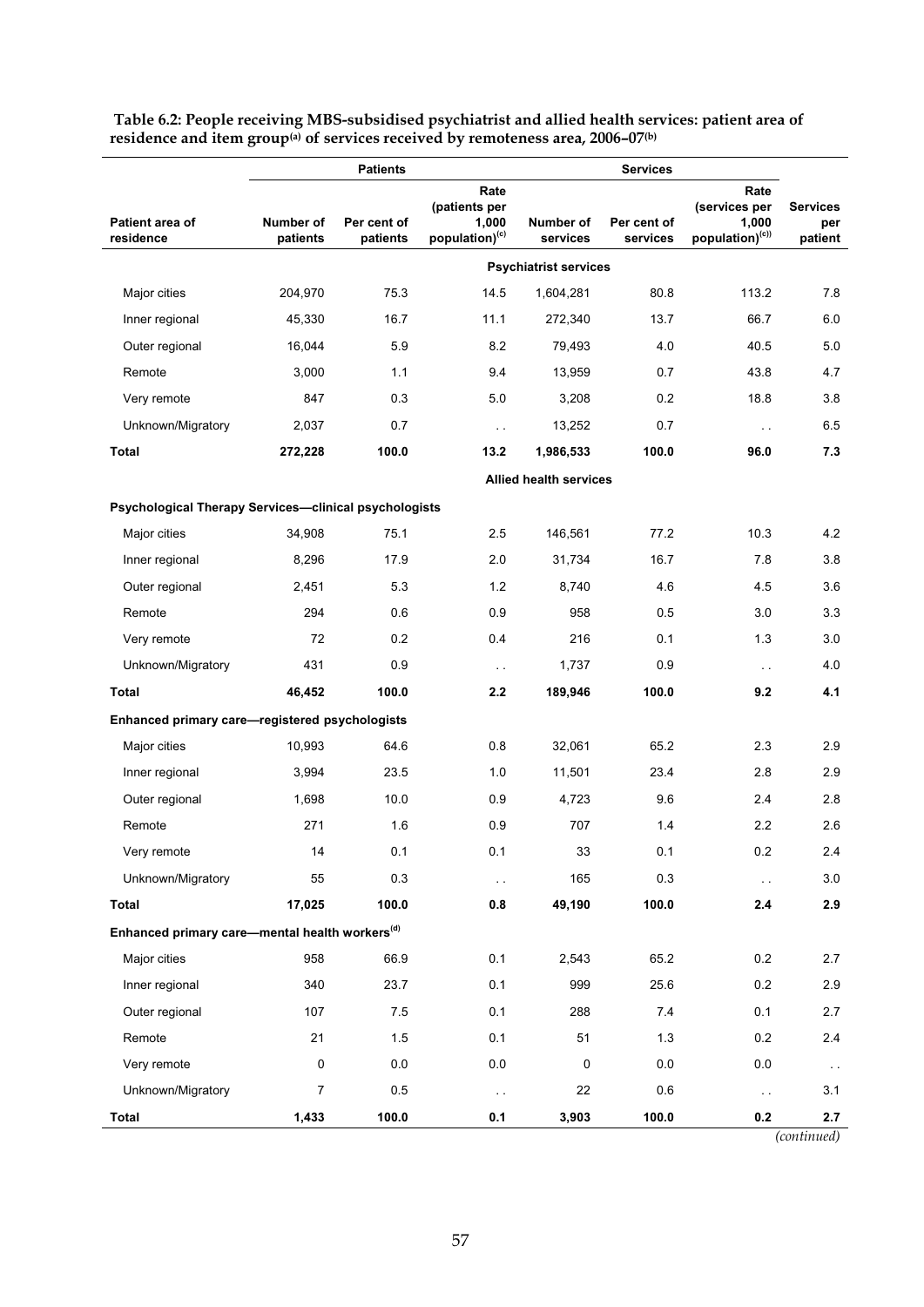|                                                            | <b>Patients</b><br><b>Services</b>                                         |             |                                |                               |             |                                                               |                                   |
|------------------------------------------------------------|----------------------------------------------------------------------------|-------------|--------------------------------|-------------------------------|-------------|---------------------------------------------------------------|-----------------------------------|
| Patient area of                                            | Number of                                                                  | Per cent of | Rate<br>(patients per<br>1,000 | Number of                     | Per cent of | Rate<br>(services per<br>1,000<br>population) <sup>(c))</sup> | <b>Services</b><br>per<br>patient |
| residence                                                  | population) <sup>(c)</sup><br>patients<br>services<br>patients<br>services |             |                                |                               |             |                                                               |                                   |
|                                                            |                                                                            |             |                                | <b>Psychiatrist services</b>  |             |                                                               |                                   |
| Major cities                                               | 204,970                                                                    | 75.3        | 14.5                           | 1,604,281                     | 80.8        | 113.2                                                         | 7.8                               |
| Inner regional                                             | 45,330                                                                     | 16.7        | 11.1                           | 272,340                       | 13.7        | 66.7                                                          | 6.0                               |
| Outer regional                                             | 16,044                                                                     | 5.9         | 8.2                            | 79,493                        | 4.0         | 40.5                                                          | 5.0                               |
| Remote                                                     | 3,000                                                                      | 1.1         | 9.4                            | 13,959                        | 0.7         | 43.8                                                          | 4.7                               |
| Very remote                                                | 847                                                                        | 0.3         | 5.0                            | 3,208                         | 0.2         | 18.8                                                          | 3.8                               |
| Unknown/Migratory                                          | 2,037                                                                      | 0.7         | $\ddotsc$                      | 13,252                        | 0.7         | $\sim$ $\sim$                                                 | 6.5                               |
| Total                                                      | 272,228                                                                    | 100.0       | 13.2                           | 1,986,533                     | 100.0       | 96.0                                                          | 7.3                               |
|                                                            |                                                                            |             |                                | <b>Allied health services</b> |             |                                                               |                                   |
| Psychological Therapy Services-clinical psychologists      |                                                                            |             |                                |                               |             |                                                               |                                   |
| Major cities                                               | 34,908                                                                     | 75.1        | 2.5                            | 146,561                       | 77.2        | 10.3                                                          | 4.2                               |
| Inner regional                                             | 8,296                                                                      | 17.9        | 2.0                            | 31,734                        | 16.7        | 7.8                                                           | 3.8                               |
| Outer regional                                             | 2,451                                                                      | 5.3         | 1.2                            | 8,740                         | 4.6         | 4.5                                                           | 3.6                               |
| Remote                                                     | 294                                                                        | 0.6         | 0.9                            | 958                           | 0.5         | 3.0                                                           | 3.3                               |
| Very remote                                                | 72                                                                         | 0.2         | 0.4                            | 216                           | 0.1         | 1.3                                                           | 3.0                               |
| Unknown/Migratory                                          | 431                                                                        | 0.9         | $\sim$                         | 1,737                         | 0.9         | $\sim$ $\sim$                                                 | 4.0                               |
| Total                                                      | 46,452                                                                     | 100.0       | 2.2                            | 189,946                       | 100.0       | 9.2                                                           | 4.1                               |
| Enhanced primary care-registered psychologists             |                                                                            |             |                                |                               |             |                                                               |                                   |
| Major cities                                               | 10,993                                                                     | 64.6        | 0.8                            | 32,061                        | 65.2        | 2.3                                                           | 2.9                               |
| Inner regional                                             | 3,994                                                                      | 23.5        | 1.0                            | 11,501                        | 23.4        | 2.8                                                           | 2.9                               |
| Outer regional                                             | 1,698                                                                      | 10.0        | 0.9                            | 4,723                         | 9.6         | 2.4                                                           | 2.8                               |
| Remote                                                     | 271                                                                        | 1.6         | 0.9                            | 707                           | 1.4         | 2.2                                                           | 2.6                               |
| Very remote                                                | 14                                                                         | 0.1         | 0.1                            | 33                            | $0.1\,$     | $0.2\,$                                                       | 2.4                               |
| Unknown/Migratory                                          | 55                                                                         | 0.3         | г.                             | 165                           | 0.3         | $\ddotsc$                                                     | $3.0\,$                           |
| Total                                                      | 17,025                                                                     | 100.0       | 0.8                            | 49,190                        | 100.0       | 2.4                                                           | 2.9                               |
| Enhanced primary care-mental health workers <sup>(d)</sup> |                                                                            |             |                                |                               |             |                                                               |                                   |
| Major cities                                               | 958                                                                        | 66.9        | 0.1                            | 2,543                         | 65.2        | 0.2                                                           | 2.7                               |
| Inner regional                                             | 340                                                                        | 23.7        | 0.1                            | 999                           | 25.6        | 0.2                                                           | 2.9                               |
| Outer regional                                             | 107                                                                        | 7.5         | 0.1                            | 288                           | 7.4         | 0.1                                                           | 2.7                               |
| Remote                                                     | 21                                                                         | $1.5$       | 0.1                            | 51                            | 1.3         | 0.2                                                           | 2.4                               |
| Very remote                                                | 0                                                                          | $0.0\,$     | 0.0                            | $\mathbf 0$                   | 0.0         | 0.0                                                           | $\sim$ $\sim$                     |
| Unknown/Migratory                                          | 7                                                                          | 0.5         | $\sim$                         | 22                            | 0.6         | $\sim$                                                        | 3.1                               |
| Total                                                      | 1,433                                                                      | 100.0       | 0.1                            | 3,903                         | 100.0       | $0.2\,$                                                       | 2.7                               |

 **Table 6.2: People receiving MBS-subsidised psychiatrist and allied health services: patient area of residence and item group(a) of services received by remoteness area, 2006–07(b)**

 *(continued)*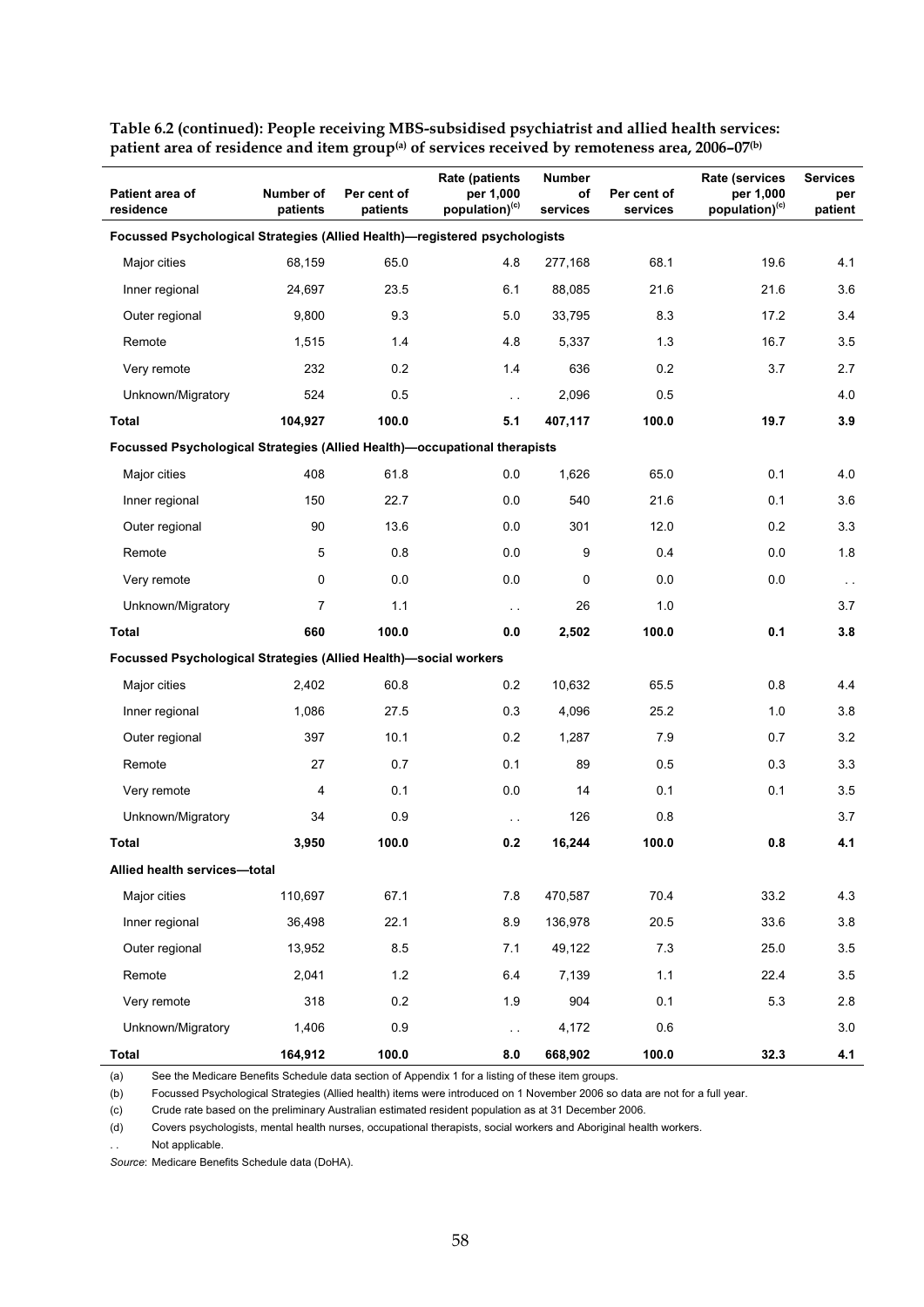| Patient area of<br>residence                                               | Number of<br>patients | Per cent of<br>patients | <b>Rate (patients)</b><br>per 1,000<br>population) <sup>(c)</sup> | Number<br>of<br>services | Per cent of<br>services | <b>Rate (services</b><br>per 1,000<br>population) <sup>(c)</sup> | <b>Services</b><br>per<br>patient |  |  |  |  |  |
|----------------------------------------------------------------------------|-----------------------|-------------------------|-------------------------------------------------------------------|--------------------------|-------------------------|------------------------------------------------------------------|-----------------------------------|--|--|--|--|--|
| Focussed Psychological Strategies (Allied Health)-registered psychologists |                       |                         |                                                                   |                          |                         |                                                                  |                                   |  |  |  |  |  |
| Major cities                                                               | 68,159                | 65.0                    | 4.8                                                               | 277,168                  | 68.1                    | 19.6                                                             | 4.1                               |  |  |  |  |  |
| Inner regional                                                             | 24,697                | 23.5                    | 6.1                                                               | 88,085                   | 21.6                    | 21.6                                                             | 3.6                               |  |  |  |  |  |
| Outer regional                                                             | 9,800                 | 9.3                     | 5.0                                                               | 33,795                   | 8.3                     | 17.2                                                             | 3.4                               |  |  |  |  |  |
| Remote                                                                     | 1,515                 | 1.4                     | 4.8                                                               | 5,337                    | 1.3                     | 16.7                                                             | 3.5                               |  |  |  |  |  |
| Very remote                                                                | 232                   | 0.2                     | 1.4                                                               | 636                      | 0.2                     | 3.7                                                              | 2.7                               |  |  |  |  |  |
| Unknown/Migratory                                                          | 524                   | 0.5                     | $\ddotsc$                                                         | 2,096                    | 0.5                     |                                                                  | 4.0                               |  |  |  |  |  |
| <b>Total</b>                                                               | 104,927               | 100.0                   | 5.1                                                               | 407,117                  | 100.0                   | 19.7                                                             | 3.9                               |  |  |  |  |  |
| Focussed Psychological Strategies (Allied Health)-occupational therapists  |                       |                         |                                                                   |                          |                         |                                                                  |                                   |  |  |  |  |  |
| Major cities                                                               | 408                   | 61.8                    | 0.0                                                               | 1,626                    | 65.0                    | 0.1                                                              | 4.0                               |  |  |  |  |  |
| Inner regional                                                             | 150                   | 22.7                    | 0.0                                                               | 540                      | 21.6                    | 0.1                                                              | 3.6                               |  |  |  |  |  |
| Outer regional                                                             | 90                    | 13.6                    | 0.0                                                               | 301                      | 12.0                    | 0.2                                                              | 3.3                               |  |  |  |  |  |
| Remote                                                                     | 5                     | 0.8                     | 0.0                                                               | 9                        | 0.4                     | 0.0                                                              | 1.8                               |  |  |  |  |  |
| Very remote                                                                | 0                     | 0.0                     | 0.0                                                               | $\mathbf 0$              | 0.0                     | 0.0                                                              | $\sim$ $\sim$                     |  |  |  |  |  |
| Unknown/Migratory                                                          | 7                     | 1.1                     | $\sim$ $\sim$                                                     | 26                       | 1.0                     |                                                                  | 3.7                               |  |  |  |  |  |
| Total                                                                      | 660                   | 100.0                   | 0.0                                                               | 2,502                    | 100.0                   | 0.1                                                              | 3.8                               |  |  |  |  |  |
| Focussed Psychological Strategies (Allied Health)-social workers           |                       |                         |                                                                   |                          |                         |                                                                  |                                   |  |  |  |  |  |
| Major cities                                                               | 2,402                 | 60.8                    | 0.2                                                               | 10,632                   | 65.5                    | 0.8                                                              | 4.4                               |  |  |  |  |  |
| Inner regional                                                             | 1,086                 | 27.5                    | 0.3                                                               | 4,096                    | 25.2                    | 1.0                                                              | 3.8                               |  |  |  |  |  |
| Outer regional                                                             | 397                   | 10.1                    | 0.2                                                               | 1,287                    | 7.9                     | 0.7                                                              | 3.2                               |  |  |  |  |  |
| Remote                                                                     | 27                    | 0.7                     | 0.1                                                               | 89                       | 0.5                     | 0.3                                                              | 3.3                               |  |  |  |  |  |
| Very remote                                                                | 4                     | 0.1                     | 0.0                                                               | 14                       | 0.1                     | 0.1                                                              | 3.5                               |  |  |  |  |  |
| Unknown/Migratory                                                          | 34                    | 0.9                     | $\sim$ .                                                          | 126                      | 0.8                     |                                                                  | 3.7                               |  |  |  |  |  |
| Total                                                                      | 3,950                 | 100.0                   | 0.2                                                               | 16,244                   | 100.0                   | 0.8                                                              | 4.1                               |  |  |  |  |  |
| Allied health services-total                                               |                       |                         |                                                                   |                          |                         |                                                                  |                                   |  |  |  |  |  |
| Major cities                                                               | 110,697               | 67.1                    | $7.8$                                                             | 470,587                  | 70.4                    | 33.2                                                             | 4.3                               |  |  |  |  |  |
| Inner regional                                                             | 36,498                | 22.1                    | 8.9                                                               | 136,978                  | 20.5                    | 33.6                                                             | 3.8                               |  |  |  |  |  |
| Outer regional                                                             | 13,952                | 8.5                     | 7.1                                                               | 49,122                   | 7.3                     | 25.0                                                             | 3.5                               |  |  |  |  |  |
| Remote                                                                     | 2,041                 | 1.2                     | 6.4                                                               | 7,139                    | 1.1                     | 22.4                                                             | $3.5\,$                           |  |  |  |  |  |
| Very remote                                                                | 318                   | 0.2                     | 1.9                                                               | 904                      | 0.1                     | 5.3                                                              | 2.8                               |  |  |  |  |  |
| Unknown/Migratory                                                          | 1,406                 | 0.9                     | $\sim$ $\sim$                                                     | 4,172                    | 0.6                     |                                                                  | $3.0\,$                           |  |  |  |  |  |
| Total                                                                      | 164,912               | 100.0                   | 8.0                                                               | 668,902                  | 100.0                   | 32.3                                                             | 4.1                               |  |  |  |  |  |

**Table 6.2 (continued): People receiving MBS-subsidised psychiatrist and allied health services:**  patient area of residence and item group<sup>(a)</sup> of services received by remoteness area, 2006–07<sup>(b)</sup>

(a) See the Medicare Benefits Schedule data section of Appendix 1 for a listing of these item groups.

(b) Focussed Psychological Strategies (Allied health) items were introduced on 1 November 2006 so data are not for a full year.

(c) Crude rate based on the preliminary Australian estimated resident population as at 31 December 2006.

(d) Covers psychologists, mental health nurses, occupational therapists, social workers and Aboriginal health workers.

Not applicable.

*Source*: Medicare Benefits Schedule data (DoHA).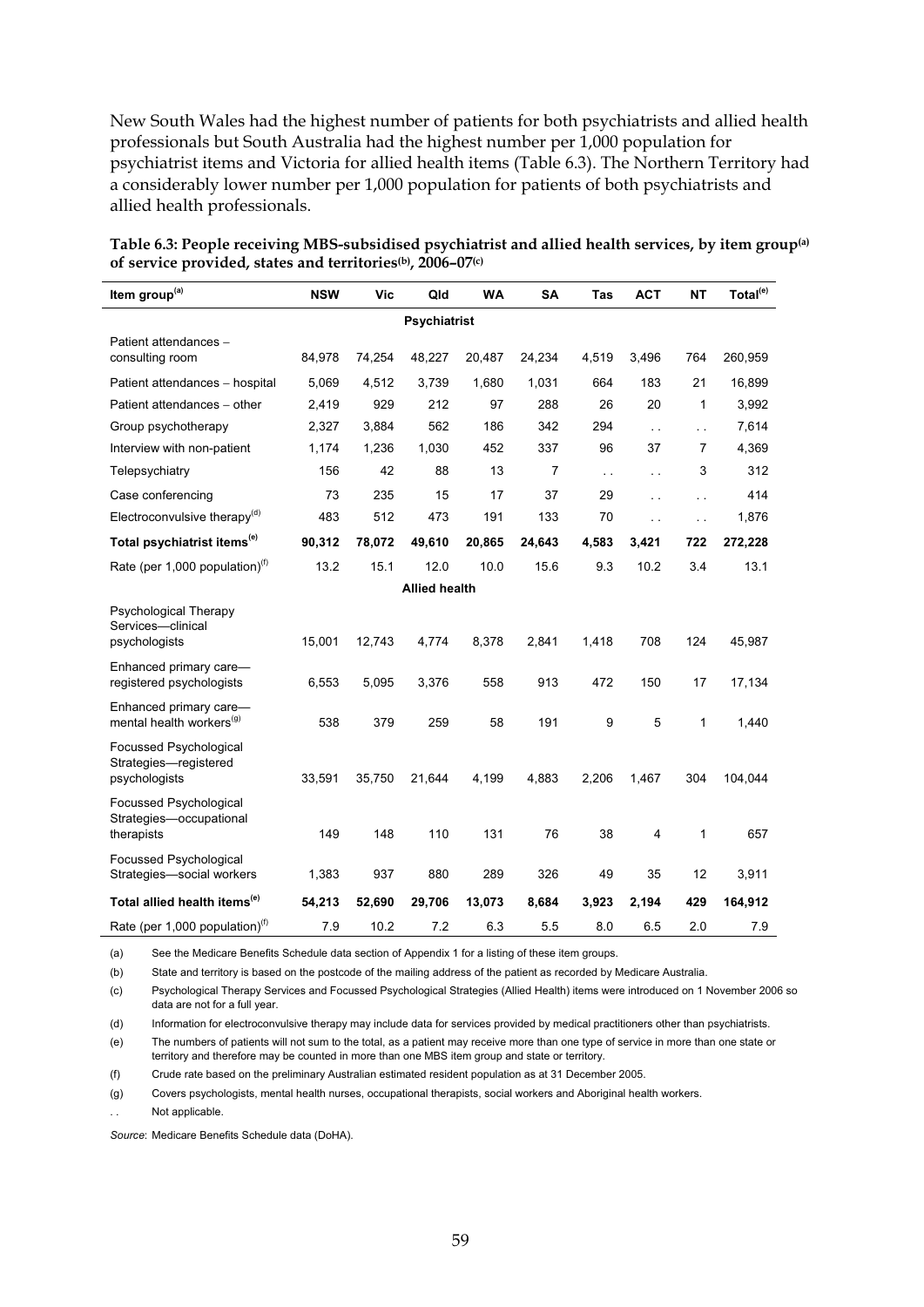New South Wales had the highest number of patients for both psychiatrists and allied health professionals but South Australia had the highest number per 1,000 population for psychiatrist items and Victoria for allied health items (Table 6.3). The Northern Territory had a considerably lower number per 1,000 population for patients of both psychiatrists and allied health professionals.

| Item group <sup>(a)</sup>                                        | <b>NSW</b> | Vic    | Qld                  | <b>WA</b> | SA             | Tas          | <b>ACT</b>              | <b>NT</b>            | Total <sup>(e)</sup> |  |
|------------------------------------------------------------------|------------|--------|----------------------|-----------|----------------|--------------|-------------------------|----------------------|----------------------|--|
| <b>Psychiatrist</b>                                              |            |        |                      |           |                |              |                         |                      |                      |  |
| Patient attendances -<br>consulting room                         | 84,978     | 74,254 | 48,227               | 20,487    | 24,234         | 4,519        | 3,496                   | 764                  | 260,959              |  |
| Patient attendances - hospital                                   | 5,069      | 4,512  | 3,739                | 1,680     | 1,031          | 664          | 183                     | 21                   | 16,899               |  |
| Patient attendances - other                                      | 2,419      | 929    | 212                  | 97        | 288            | 26           | 20                      | 1                    | 3,992                |  |
| Group psychotherapy                                              | 2,327      | 3,884  | 562                  | 186       | 342            | 294          | $\ddot{\phantom{a}}$    | $\ddotsc$            | 7,614                |  |
| Interview with non-patient                                       | 1,174      | 1,236  | 1,030                | 452       | 337            | 96           | 37                      | 7                    | 4,369                |  |
| Telepsychiatry                                                   | 156        | 42     | 88                   | 13        | $\overline{7}$ | $\mathbf{r}$ | $\ddot{\phantom{a}}$    | 3                    | 312                  |  |
| Case conferencing                                                | 73         | 235    | 15                   | 17        | 37             | 29           | $\ddotsc$               | $\ddot{\phantom{0}}$ | 414                  |  |
| Electroconvulsive therapy <sup>(d)</sup>                         | 483        | 512    | 473                  | 191       | 133            | 70           | $\ddot{\phantom{a}}$    | $\ddot{\phantom{0}}$ | 1,876                |  |
| Total psychiatrist items <sup>(e)</sup>                          | 90,312     | 78,072 | 49,610               | 20,865    | 24,643         | 4,583        | 3,421                   | 722                  | 272,228              |  |
| Rate (per 1,000 population) $^{(f)}$                             | 13.2       | 15.1   | 12.0                 | 10.0      | 15.6           | 9.3          | 10.2                    | 3.4                  | 13.1                 |  |
|                                                                  |            |        | <b>Allied health</b> |           |                |              |                         |                      |                      |  |
| Psychological Therapy<br>Services-clinical<br>psychologists      | 15,001     | 12,743 | 4,774                | 8,378     | 2,841          | 1,418        | 708                     | 124                  | 45,987               |  |
| Enhanced primary care-<br>registered psychologists               | 6,553      | 5,095  | 3,376                | 558       | 913            | 472          | 150                     | 17                   | 17,134               |  |
| Enhanced primary care-<br>mental health workers <sup>(g)</sup>   | 538        | 379    | 259                  | 58        | 191            | 9            | 5                       | 1                    | 1,440                |  |
| Focussed Psychological<br>Strategies-registered<br>psychologists | 33,591     | 35,750 | 21,644               | 4,199     | 4,883          | 2,206        | 1,467                   | 304                  | 104,044              |  |
| Focussed Psychological<br>Strategies-occupational<br>therapists  | 149        | 148    | 110                  | 131       | 76             | 38           | $\overline{\mathbf{4}}$ | 1                    | 657                  |  |
| <b>Focussed Psychological</b><br>Strategies-social workers       | 1,383      | 937    | 880                  | 289       | 326            | 49           | 35                      | 12                   | 3,911                |  |
| Total allied health items <sup>(e)</sup>                         | 54,213     | 52,690 | 29,706               | 13,073    | 8,684          | 3,923        | 2,194                   | 429                  | 164,912              |  |
| Rate (per 1,000 population) <sup>(f)</sup>                       | 7.9        | 10.2   | 7.2                  | 6.3       | 5.5            | 8.0          | 6.5                     | 2.0                  | 7.9                  |  |

**Table 6.3: People receiving MBS-subsidised psychiatrist and allied health services, by item group(a) of service provided, states and territories(b), 2006–07(c)**

(a) See the Medicare Benefits Schedule data section of Appendix 1 for a listing of these item groups.

(b) State and territory is based on the postcode of the mailing address of the patient as recorded by Medicare Australia.

(c) Psychological Therapy Services and Focussed Psychological Strategies (Allied Health) items were introduced on 1 November 2006 so data are not for a full year.

(d) Information for electroconvulsive therapy may include data for services provided by medical practitioners other than psychiatrists.

(e) The numbers of patients will not sum to the total, as a patient may receive more than one type of service in more than one state or territory and therefore may be counted in more than one MBS item group and state or territory.

(f) Crude rate based on the preliminary Australian estimated resident population as at 31 December 2005.

(g) Covers psychologists, mental health nurses, occupational therapists, social workers and Aboriginal health workers.

Not applicable.

*Source*: Medicare Benefits Schedule data (DoHA).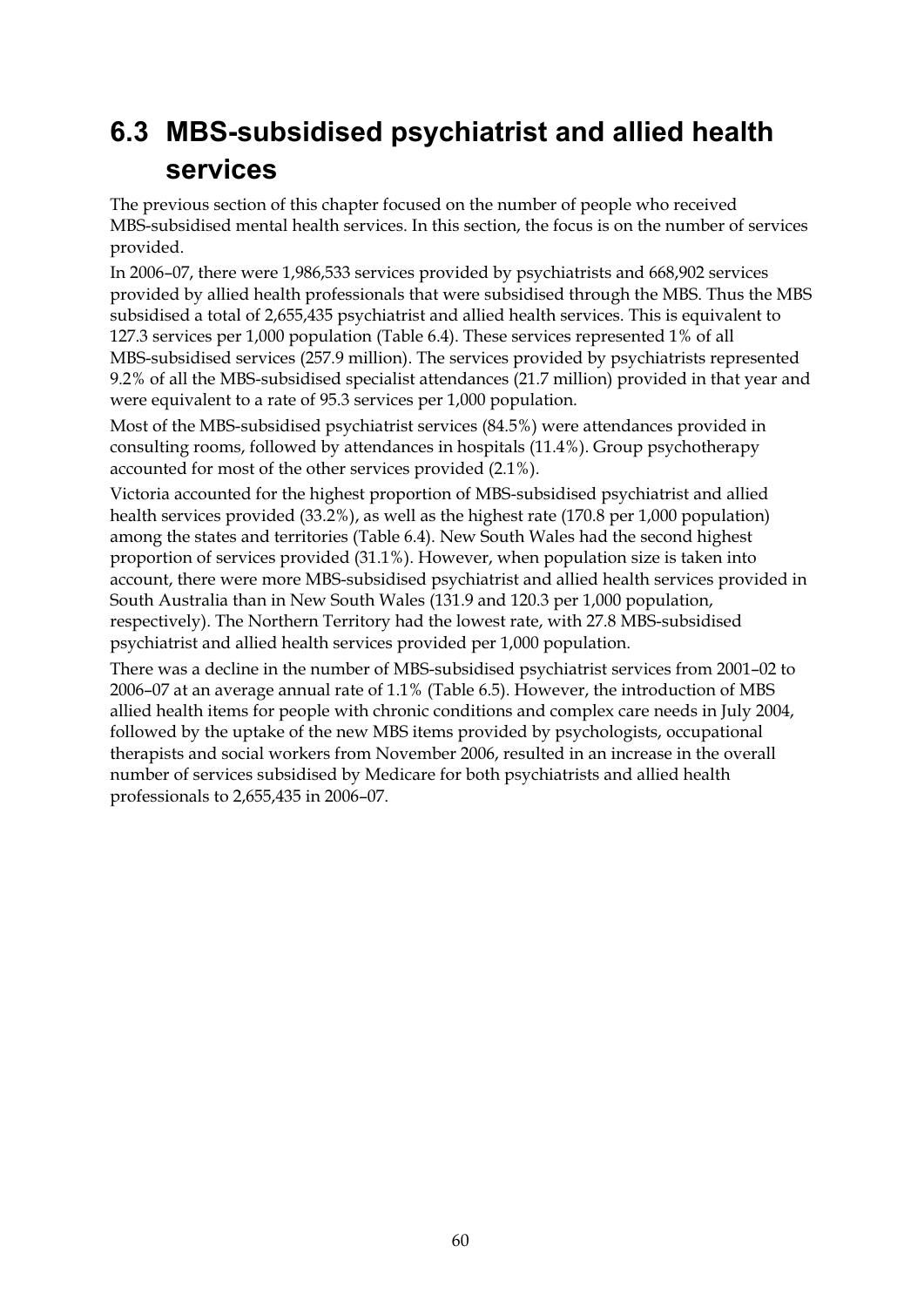## **6.3 MBS-subsidised psychiatrist and allied health services**

The previous section of this chapter focused on the number of people who received MBS-subsidised mental health services. In this section, the focus is on the number of services provided.

In 2006–07, there were 1,986,533 services provided by psychiatrists and 668,902 services provided by allied health professionals that were subsidised through the MBS. Thus the MBS subsidised a total of 2,655,435 psychiatrist and allied health services. This is equivalent to 127.3 services per 1,000 population (Table 6.4). These services represented 1% of all MBS-subsidised services (257.9 million). The services provided by psychiatrists represented 9.2% of all the MBS-subsidised specialist attendances (21.7 million) provided in that year and were equivalent to a rate of 95.3 services per 1,000 population.

Most of the MBS-subsidised psychiatrist services (84.5%) were attendances provided in consulting rooms, followed by attendances in hospitals (11.4%). Group psychotherapy accounted for most of the other services provided (2.1%).

Victoria accounted for the highest proportion of MBS-subsidised psychiatrist and allied health services provided (33.2%), as well as the highest rate (170.8 per 1,000 population) among the states and territories (Table 6.4). New South Wales had the second highest proportion of services provided (31.1%). However, when population size is taken into account, there were more MBS-subsidised psychiatrist and allied health services provided in South Australia than in New South Wales (131.9 and 120.3 per 1,000 population, respectively). The Northern Territory had the lowest rate, with 27.8 MBS-subsidised psychiatrist and allied health services provided per 1,000 population.

There was a decline in the number of MBS-subsidised psychiatrist services from 2001–02 to 2006–07 at an average annual rate of 1.1% (Table 6.5). However, the introduction of MBS allied health items for people with chronic conditions and complex care needs in July 2004, followed by the uptake of the new MBS items provided by psychologists, occupational therapists and social workers from November 2006, resulted in an increase in the overall number of services subsidised by Medicare for both psychiatrists and allied health professionals to 2,655,435 in 2006–07.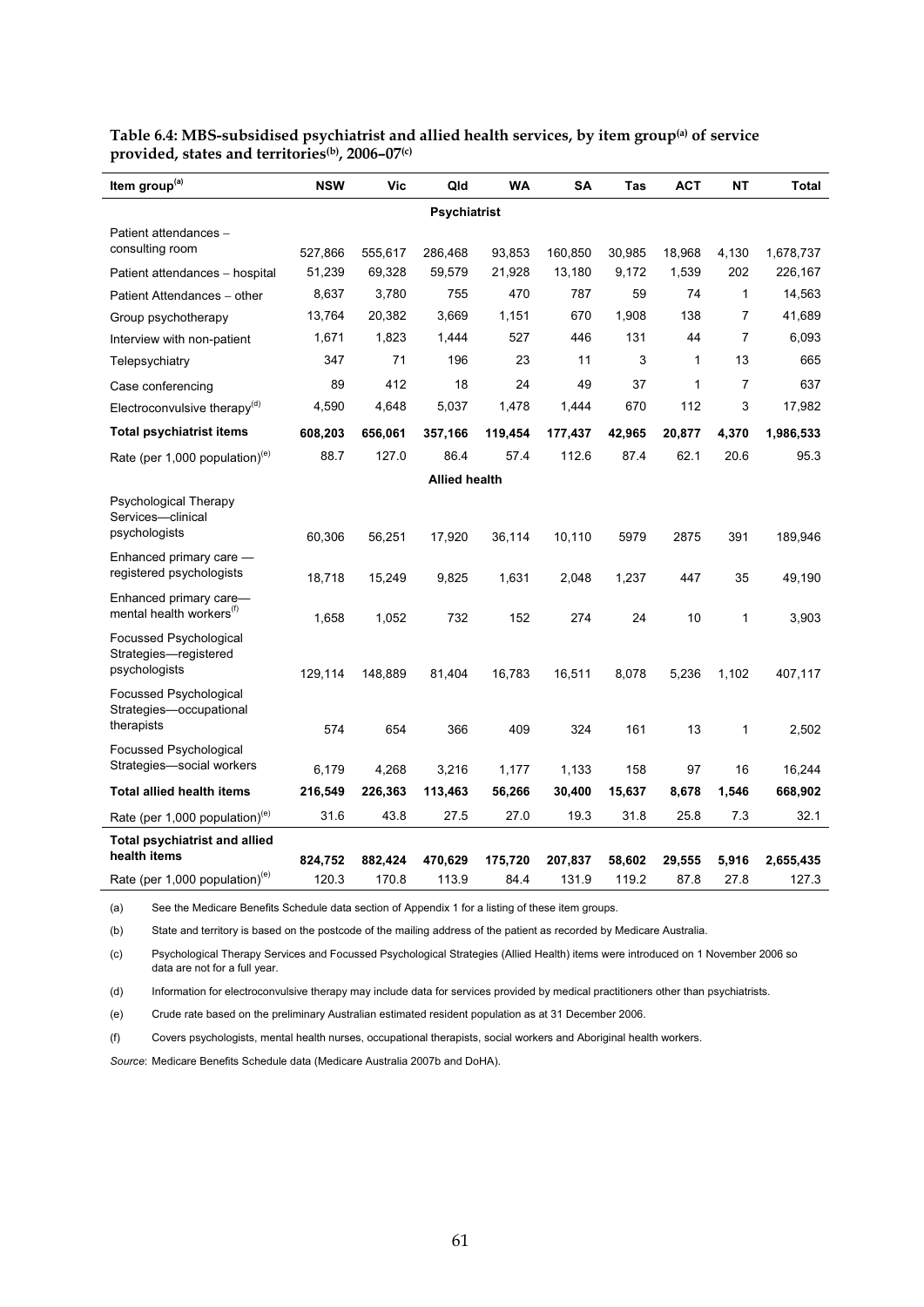| Item group <sup>(a)</sup>                                      | <b>NSW</b> | Vic     | Qld                  | <b>WA</b> | <b>SA</b> | Tas    | <b>ACT</b>   | <b>NT</b> | Total     |
|----------------------------------------------------------------|------------|---------|----------------------|-----------|-----------|--------|--------------|-----------|-----------|
| <b>Psychiatrist</b>                                            |            |         |                      |           |           |        |              |           |           |
| Patient attendances -                                          |            |         |                      |           |           |        |              |           |           |
| consulting room                                                | 527,866    | 555,617 | 286,468              | 93,853    | 160,850   | 30,985 | 18,968       | 4,130     | 1,678,737 |
| Patient attendances - hospital                                 | 51,239     | 69,328  | 59,579               | 21,928    | 13,180    | 9,172  | 1,539        | 202       | 226,167   |
| Patient Attendances - other                                    | 8,637      | 3,780   | 755                  | 470       | 787       | 59     | 74           | 1         | 14,563    |
| Group psychotherapy                                            | 13,764     | 20,382  | 3,669                | 1,151     | 670       | 1,908  | 138          | 7         | 41,689    |
| Interview with non-patient                                     | 1,671      | 1,823   | 1,444                | 527       | 446       | 131    | 44           | 7         | 6,093     |
| Telepsychiatry                                                 | 347        | 71      | 196                  | 23        | 11        | 3      | 1            | 13        | 665       |
| Case conferencing                                              | 89         | 412     | 18                   | 24        | 49        | 37     | $\mathbf{1}$ | 7         | 637       |
| Electroconvulsive therapy <sup>(d)</sup>                       | 4,590      | 4,648   | 5,037                | 1,478     | 1,444     | 670    | 112          | 3         | 17,982    |
| <b>Total psychiatrist items</b>                                | 608,203    | 656,061 | 357,166              | 119,454   | 177,437   | 42,965 | 20,877       | 4,370     | 1,986,533 |
| Rate (per 1,000 population) $(e)$                              | 88.7       | 127.0   | 86.4                 | 57.4      | 112.6     | 87.4   | 62.1         | 20.6      | 95.3      |
|                                                                |            |         | <b>Allied health</b> |           |           |        |              |           |           |
| Psychological Therapy<br>Services-clinical                     |            |         |                      |           |           |        |              |           |           |
| psychologists                                                  | 60,306     | 56,251  | 17,920               | 36,114    | 10,110    | 5979   | 2875         | 391       | 189,946   |
| Enhanced primary care -<br>registered psychologists            | 18,718     | 15,249  | 9,825                | 1,631     | 2,048     | 1,237  | 447          | 35        | 49,190    |
| Enhanced primary care-<br>mental health workers <sup>(f)</sup> | 1,658      | 1,052   | 732                  | 152       | 274       | 24     | 10           | 1         | 3,903     |
| Focussed Psychological<br>Strategies-registered                |            |         |                      |           |           |        |              |           |           |
| psychologists                                                  | 129,114    | 148,889 | 81,404               | 16,783    | 16,511    | 8,078  | 5,236        | 1,102     | 407,117   |
| <b>Focussed Psychological</b><br>Strategies-occupational       |            |         |                      |           |           |        |              |           |           |
| therapists                                                     | 574        | 654     | 366                  | 409       | 324       | 161    | 13           | 1         | 2,502     |
| <b>Focussed Psychological</b><br>Strategies-social workers     | 6,179      | 4,268   | 3,216                | 1,177     | 1,133     | 158    | 97           | 16        | 16,244    |
| <b>Total allied health items</b>                               | 216,549    | 226,363 | 113,463              | 56,266    | 30,400    | 15,637 | 8,678        | 1,546     | 668,902   |
| Rate (per 1,000 population) <sup>(e)</sup>                     | 31.6       | 43.8    | 27.5                 | 27.0      | 19.3      | 31.8   | 25.8         | 7.3       | 32.1      |
| <b>Total psychiatrist and allied</b>                           |            |         |                      |           |           |        |              |           |           |
| health items                                                   | 824,752    | 882,424 | 470,629              | 175,720   | 207,837   | 58,602 | 29,555       | 5,916     | 2,655,435 |
| Rate (per 1,000 population) <sup>(e)</sup>                     | 120.3      | 170.8   | 113.9                | 84.4      | 131.9     | 119.2  | 87.8         | 27.8      | 127.3     |

**Table 6.4: MBS-subsidised psychiatrist and allied health services, by item group(a) of service provided, states and territories(b), 2006–07(c)** 

(a) See the Medicare Benefits Schedule data section of Appendix 1 for a listing of these item groups.

(b) State and territory is based on the postcode of the mailing address of the patient as recorded by Medicare Australia.

(c) Psychological Therapy Services and Focussed Psychological Strategies (Allied Health) items were introduced on 1 November 2006 so data are not for a full year.

(d) Information for electroconvulsive therapy may include data for services provided by medical practitioners other than psychiatrists.

(e) Crude rate based on the preliminary Australian estimated resident population as at 31 December 2006.

(f) Covers psychologists, mental health nurses, occupational therapists, social workers and Aboriginal health workers.

*Source*: Medicare Benefits Schedule data (Medicare Australia 2007b and DoHA).